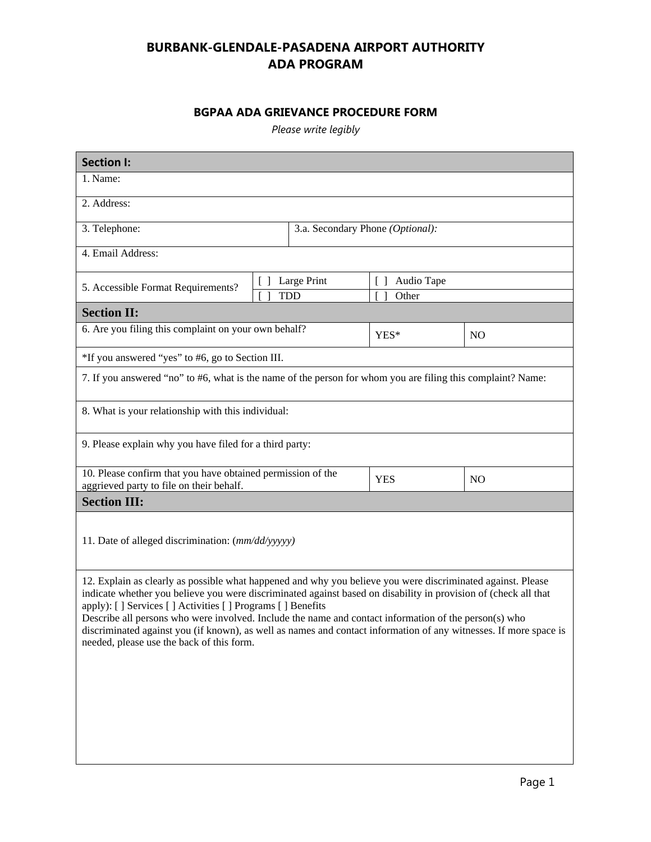## **BURBANK-GLENDALE-PASADENA AIRPORT AUTHORITY ADA PROGRAM**

## **BGPAA ADA GRIEVANCE PROCEDURE FORM**

*Please write legibly*

| <b>Section I:</b>                                                                                                                                                                                                                                                                                                                                                                                                                                                                                                                                                      |  |                                  |                      |  |  |  |
|------------------------------------------------------------------------------------------------------------------------------------------------------------------------------------------------------------------------------------------------------------------------------------------------------------------------------------------------------------------------------------------------------------------------------------------------------------------------------------------------------------------------------------------------------------------------|--|----------------------------------|----------------------|--|--|--|
| 1. Name:                                                                                                                                                                                                                                                                                                                                                                                                                                                                                                                                                               |  |                                  |                      |  |  |  |
| 2. Address:                                                                                                                                                                                                                                                                                                                                                                                                                                                                                                                                                            |  |                                  |                      |  |  |  |
| 3. Telephone:                                                                                                                                                                                                                                                                                                                                                                                                                                                                                                                                                          |  | 3.a. Secondary Phone (Optional): |                      |  |  |  |
| 4. Email Address:                                                                                                                                                                                                                                                                                                                                                                                                                                                                                                                                                      |  |                                  |                      |  |  |  |
| $\lceil$ 1<br>5. Accessible Format Requirements?                                                                                                                                                                                                                                                                                                                                                                                                                                                                                                                       |  | Large Print                      | Audio Tape<br>$\Box$ |  |  |  |
|                                                                                                                                                                                                                                                                                                                                                                                                                                                                                                                                                                        |  | <b>TDD</b>                       | Other                |  |  |  |
| <b>Section II:</b>                                                                                                                                                                                                                                                                                                                                                                                                                                                                                                                                                     |  |                                  |                      |  |  |  |
| 6. Are you filing this complaint on your own behalf?                                                                                                                                                                                                                                                                                                                                                                                                                                                                                                                   |  | YES*                             | N <sub>O</sub>       |  |  |  |
| *If you answered "yes" to #6, go to Section III.                                                                                                                                                                                                                                                                                                                                                                                                                                                                                                                       |  |                                  |                      |  |  |  |
| 7. If you answered "no" to #6, what is the name of the person for whom you are filing this complaint? Name:                                                                                                                                                                                                                                                                                                                                                                                                                                                            |  |                                  |                      |  |  |  |
| 8. What is your relationship with this individual:                                                                                                                                                                                                                                                                                                                                                                                                                                                                                                                     |  |                                  |                      |  |  |  |
| 9. Please explain why you have filed for a third party:                                                                                                                                                                                                                                                                                                                                                                                                                                                                                                                |  |                                  |                      |  |  |  |
| 10. Please confirm that you have obtained permission of the<br>aggrieved party to file on their behalf.                                                                                                                                                                                                                                                                                                                                                                                                                                                                |  | <b>YES</b>                       | N <sub>O</sub>       |  |  |  |
| <b>Section III:</b>                                                                                                                                                                                                                                                                                                                                                                                                                                                                                                                                                    |  |                                  |                      |  |  |  |
| 11. Date of alleged discrimination: (mm/dd/yyyyy)                                                                                                                                                                                                                                                                                                                                                                                                                                                                                                                      |  |                                  |                      |  |  |  |
| 12. Explain as clearly as possible what happened and why you believe you were discriminated against. Please<br>indicate whether you believe you were discriminated against based on disability in provision of (check all that<br>apply): [] Services [] Activities [] Programs [] Benefits<br>Describe all persons who were involved. Include the name and contact information of the person(s) who<br>discriminated against you (if known), as well as names and contact information of any witnesses. If more space is<br>needed, please use the back of this form. |  |                                  |                      |  |  |  |
|                                                                                                                                                                                                                                                                                                                                                                                                                                                                                                                                                                        |  |                                  |                      |  |  |  |
|                                                                                                                                                                                                                                                                                                                                                                                                                                                                                                                                                                        |  |                                  |                      |  |  |  |